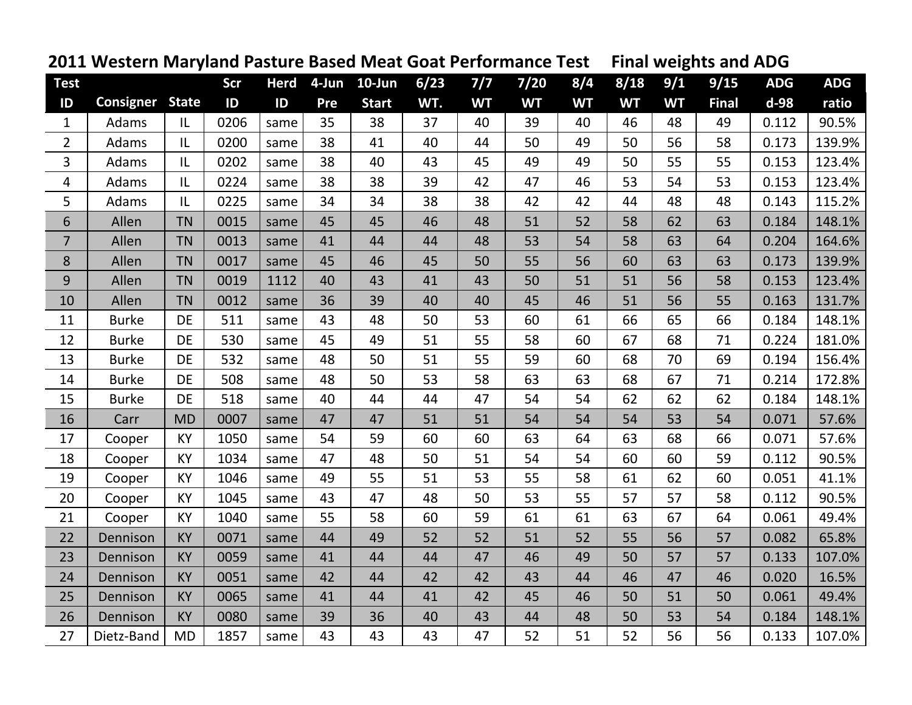|                         | <u>2011 western iviaryland Pasture Based ivieat Goat Performance Test</u> |           |      |             |     |              |        |           |           |           | Final weights and ADG |           |              |            |            |
|-------------------------|---------------------------------------------------------------------------|-----------|------|-------------|-----|--------------|--------|-----------|-----------|-----------|-----------------------|-----------|--------------|------------|------------|
| <b>Test</b>             |                                                                           |           | Scr  | <b>Herd</b> |     | 4-Jun 10-Jun | $6/23$ | 7/7       | $7/20$    | 8/4       | 8/18                  | 9/1       | 9/15         | <b>ADG</b> | <b>ADG</b> |
| ID                      | <b>Consigner State</b>                                                    |           | ID   | ID          | Pre | <b>Start</b> | WT.    | <b>WT</b> | <b>WT</b> | <b>WT</b> | <b>WT</b>             | <b>WT</b> | <b>Final</b> | d-98       | ratio      |
| $\mathbf{1}$            | Adams                                                                     | IL        | 0206 | same        | 35  | 38           | 37     | 40        | 39        | 40        | 46                    | 48        | 49           | 0.112      | 90.5%      |
| $\overline{2}$          | Adams                                                                     | L         | 0200 | same        | 38  | 41           | 40     | 44        | 50        | 49        | 50                    | 56        | 58           | 0.173      | 139.9%     |
| 3                       | Adams                                                                     | L         | 0202 | same        | 38  | 40           | 43     | 45        | 49        | 49        | 50                    | 55        | 55           | 0.153      | 123.4%     |
| $\overline{\mathbf{4}}$ | Adams                                                                     | IL        | 0224 | same        | 38  | 38           | 39     | 42        | 47        | 46        | 53                    | 54        | 53           | 0.153      | 123.4%     |
| 5                       | Adams                                                                     | IL        | 0225 | same        | 34  | 34           | 38     | 38        | 42        | 42        | 44                    | 48        | 48           | 0.143      | 115.2%     |
| 6                       | Allen                                                                     | <b>TN</b> | 0015 | same        | 45  | 45           | 46     | 48        | 51        | 52        | 58                    | 62        | 63           | 0.184      | 148.1%     |
| $\overline{7}$          | Allen                                                                     | <b>TN</b> | 0013 | same        | 41  | 44           | 44     | 48        | 53        | 54        | 58                    | 63        | 64           | 0.204      | 164.6%     |
| 8                       | Allen                                                                     | <b>TN</b> | 0017 | same        | 45  | 46           | 45     | 50        | 55        | 56        | 60                    | 63        | 63           | 0.173      | 139.9%     |
| $\boldsymbol{9}$        | Allen                                                                     | <b>TN</b> | 0019 | 1112        | 40  | 43           | 41     | 43        | 50        | 51        | 51                    | 56        | 58           | 0.153      | 123.4%     |
| 10                      | Allen                                                                     | <b>TN</b> | 0012 | same        | 36  | 39           | 40     | 40        | 45        | 46        | 51                    | 56        | 55           | 0.163      | 131.7%     |
| 11                      | <b>Burke</b>                                                              | DE        | 511  | same        | 43  | 48           | 50     | 53        | 60        | 61        | 66                    | 65        | 66           | 0.184      | 148.1%     |
| 12                      | <b>Burke</b>                                                              | DE        | 530  | same        | 45  | 49           | 51     | 55        | 58        | 60        | 67                    | 68        | 71           | 0.224      | 181.0%     |
| 13                      | <b>Burke</b>                                                              | DE        | 532  | same        | 48  | 50           | 51     | 55        | 59        | 60        | 68                    | 70        | 69           | 0.194      | 156.4%     |
| 14                      | <b>Burke</b>                                                              | <b>DE</b> | 508  | same        | 48  | 50           | 53     | 58        | 63        | 63        | 68                    | 67        | 71           | 0.214      | 172.8%     |
| 15                      | <b>Burke</b>                                                              | <b>DE</b> | 518  | same        | 40  | 44           | 44     | 47        | 54        | 54        | 62                    | 62        | 62           | 0.184      | 148.1%     |
| 16                      | Carr                                                                      | <b>MD</b> | 0007 | same        | 47  | 47           | 51     | 51        | 54        | 54        | 54                    | 53        | 54           | 0.071      | 57.6%      |
| 17                      | Cooper                                                                    | KY        | 1050 | same        | 54  | 59           | 60     | 60        | 63        | 64        | 63                    | 68        | 66           | 0.071      | 57.6%      |
| 18                      | Cooper                                                                    | KY        | 1034 | same        | 47  | 48           | 50     | 51        | 54        | 54        | 60                    | 60        | 59           | 0.112      | 90.5%      |
| 19                      | Cooper                                                                    | KY        | 1046 | same        | 49  | 55           | 51     | 53        | 55        | 58        | 61                    | 62        | 60           | 0.051      | 41.1%      |
| 20                      | Cooper                                                                    | KY        | 1045 | same        | 43  | 47           | 48     | 50        | 53        | 55        | 57                    | 57        | 58           | 0.112      | 90.5%      |
| 21                      | Cooper                                                                    | KY        | 1040 | same        | 55  | 58           | 60     | 59        | 61        | 61        | 63                    | 67        | 64           | 0.061      | 49.4%      |
| 22                      | Dennison                                                                  | KY        | 0071 | same        | 44  | 49           | 52     | 52        | 51        | 52        | 55                    | 56        | 57           | 0.082      | 65.8%      |
| 23                      | Dennison                                                                  | <b>KY</b> | 0059 | same        | 41  | 44           | 44     | 47        | 46        | 49        | 50                    | 57        | 57           | 0.133      | 107.0%     |
| 24                      | Dennison                                                                  | <b>KY</b> | 0051 | same        | 42  | 44           | 42     | 42        | 43        | 44        | 46                    | 47        | 46           | 0.020      | 16.5%      |
| 25                      | Dennison                                                                  | KY        | 0065 | same        | 41  | 44           | 41     | 42        | 45        | 46        | 50                    | 51        | 50           | 0.061      | 49.4%      |
| 26                      | Dennison                                                                  | <b>KY</b> | 0080 | same        | 39  | 36           | 40     | 43        | 44        | 48        | 50                    | 53        | 54           | 0.184      | 148.1%     |
| 27                      | Dietz-Band                                                                | <b>MD</b> | 1857 | same        | 43  | 43           | 43     | 47        | 52        | 51        | 52                    | 56        | 56           | 0.133      | 107.0%     |

## **Western Maryland Pasture Based Meat Goat Performance Test Final weights and ADG**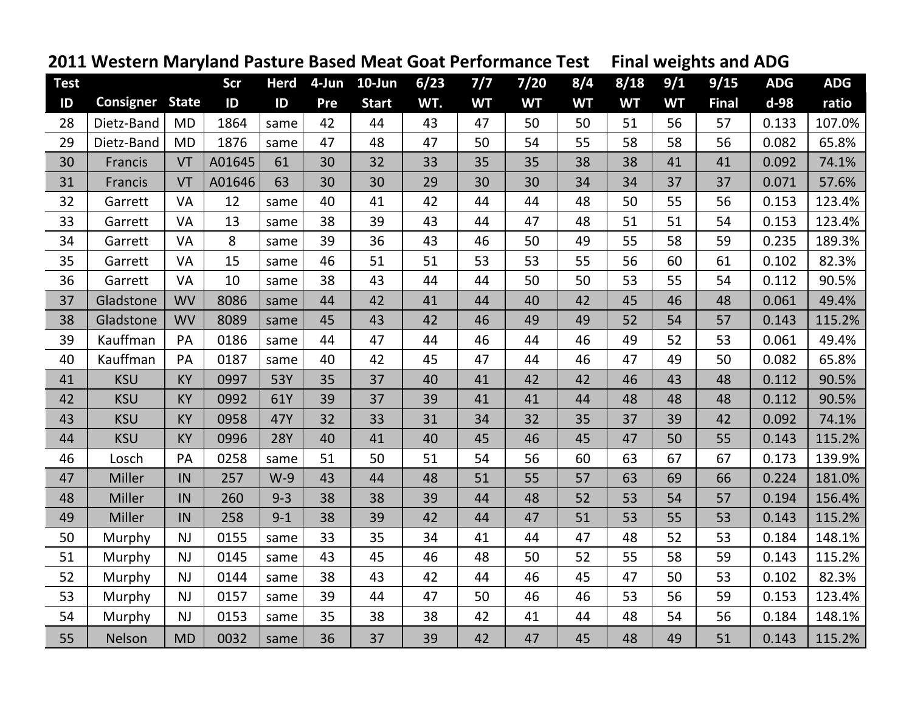|             | 2011 Western Maryland Pasture Based Meat Goat Performance Test |           |        |             |     |              |      |           |           |           | <b>Final weights and ADG</b> |           |              |            |            |
|-------------|----------------------------------------------------------------|-----------|--------|-------------|-----|--------------|------|-----------|-----------|-----------|------------------------------|-----------|--------------|------------|------------|
| <b>Test</b> |                                                                |           | Scr    | <b>Herd</b> |     | 4-Jun 10-Jun | 6/23 | $7/7$     | $7/20$    | 8/4       | 8/18                         | 9/1       | 9/15         | <b>ADG</b> | <b>ADG</b> |
| ID          | <b>Consigner State</b>                                         |           | ID     | ID          | Pre | <b>Start</b> | WT.  | <b>WT</b> | <b>WT</b> | <b>WT</b> | <b>WT</b>                    | <b>WT</b> | <b>Final</b> | $d-98$     | ratio      |
| 28          | Dietz-Band                                                     | <b>MD</b> | 1864   | same        | 42  | 44           | 43   | 47        | 50        | 50        | 51                           | 56        | 57           | 0.133      | 107.0%     |
| 29          | Dietz-Band                                                     | <b>MD</b> | 1876   | same        | 47  | 48           | 47   | 50        | 54        | 55        | 58                           | 58        | 56           | 0.082      | 65.8%      |
| 30          | Francis                                                        | VT        | A01645 | 61          | 30  | 32           | 33   | 35        | 35        | 38        | 38                           | 41        | 41           | 0.092      | 74.1%      |
| 31          | Francis                                                        | VT        | A01646 | 63          | 30  | 30           | 29   | 30        | 30        | 34        | 34                           | 37        | 37           | 0.071      | 57.6%      |
| 32          | Garrett                                                        | VA        | 12     | same        | 40  | 41           | 42   | 44        | 44        | 48        | 50                           | 55        | 56           | 0.153      | 123.4%     |
| 33          | Garrett                                                        | VA        | 13     | same        | 38  | 39           | 43   | 44        | 47        | 48        | 51                           | 51        | 54           | 0.153      | 123.4%     |
| 34          | Garrett                                                        | VA        | 8      | same        | 39  | 36           | 43   | 46        | 50        | 49        | 55                           | 58        | 59           | 0.235      | 189.3%     |
| 35          | Garrett                                                        | VA        | 15     | same        | 46  | 51           | 51   | 53        | 53        | 55        | 56                           | 60        | 61           | 0.102      | 82.3%      |
| 36          | Garrett                                                        | VA        | 10     | same        | 38  | 43           | 44   | 44        | 50        | 50        | 53                           | 55        | 54           | 0.112      | 90.5%      |
| 37          | Gladstone                                                      | <b>WV</b> | 8086   | same        | 44  | 42           | 41   | 44        | 40        | 42        | 45                           | 46        | 48           | 0.061      | 49.4%      |
| 38          | Gladstone                                                      | <b>WV</b> | 8089   | same        | 45  | 43           | 42   | 46        | 49        | 49        | 52                           | 54        | 57           | 0.143      | 115.2%     |
| 39          | Kauffman                                                       | PA        | 0186   | same        | 44  | 47           | 44   | 46        | 44        | 46        | 49                           | 52        | 53           | 0.061      | 49.4%      |
| 40          | Kauffman                                                       | PA        | 0187   | same        | 40  | 42           | 45   | 47        | 44        | 46        | 47                           | 49        | 50           | 0.082      | 65.8%      |
| 41          | <b>KSU</b>                                                     | KY        | 0997   | 53Y         | 35  | 37           | 40   | 41        | 42        | 42        | 46                           | 43        | 48           | 0.112      | 90.5%      |
| 42          | <b>KSU</b>                                                     | <b>KY</b> | 0992   | 61Y         | 39  | 37           | 39   | 41        | 41        | 44        | 48                           | 48        | 48           | 0.112      | 90.5%      |
| 43          | <b>KSU</b>                                                     | KY        | 0958   | 47Y         | 32  | 33           | 31   | 34        | 32        | 35        | 37                           | 39        | 42           | 0.092      | 74.1%      |
| 44          | <b>KSU</b>                                                     | <b>KY</b> | 0996   | <b>28Y</b>  | 40  | 41           | 40   | 45        | 46        | 45        | 47                           | 50        | 55           | 0.143      | 115.2%     |
| 46          | Losch                                                          | PA        | 0258   | same        | 51  | 50           | 51   | 54        | 56        | 60        | 63                           | 67        | 67           | 0.173      | 139.9%     |
| 47          | <b>Miller</b>                                                  | IN        | 257    | $W-9$       | 43  | 44           | 48   | 51        | 55        | 57        | 63                           | 69        | 66           | 0.224      | 181.0%     |
| 48          | Miller                                                         | IN        | 260    | $9 - 3$     | 38  | 38           | 39   | 44        | 48        | 52        | 53                           | 54        | 57           | 0.194      | 156.4%     |
| 49          | Miller                                                         | IN        | 258    | $9 - 1$     | 38  | 39           | 42   | 44        | 47        | 51        | 53                           | 55        | 53           | 0.143      | 115.2%     |
| 50          | Murphy                                                         | NJ        | 0155   | same        | 33  | 35           | 34   | 41        | 44        | 47        | 48                           | 52        | 53           | 0.184      | 148.1%     |
| 51          | Murphy                                                         | NJ        | 0145   | same        | 43  | 45           | 46   | 48        | 50        | 52        | 55                           | 58        | 59           | 0.143      | 115.2%     |
| 52          | Murphy                                                         | NJ        | 0144   | same        | 38  | 43           | 42   | 44        | 46        | 45        | 47                           | 50        | 53           | 0.102      | 82.3%      |
| 53          | Murphy                                                         | NJ        | 0157   | same        | 39  | 44           | 47   | 50        | 46        | 46        | 53                           | 56        | 59           | 0.153      | 123.4%     |
| 54          | Murphy                                                         | NJ        | 0153   | same        | 35  | 38           | 38   | 42        | 41        | 44        | 48                           | 54        | 56           | 0.184      | 148.1%     |
| 55          | Nelson                                                         | <b>MD</b> | 0032   | same        | 36  | 37           | 39   | 42        | 47        | 45        | 48                           | 49        | 51           | 0.143      | 115.2%     |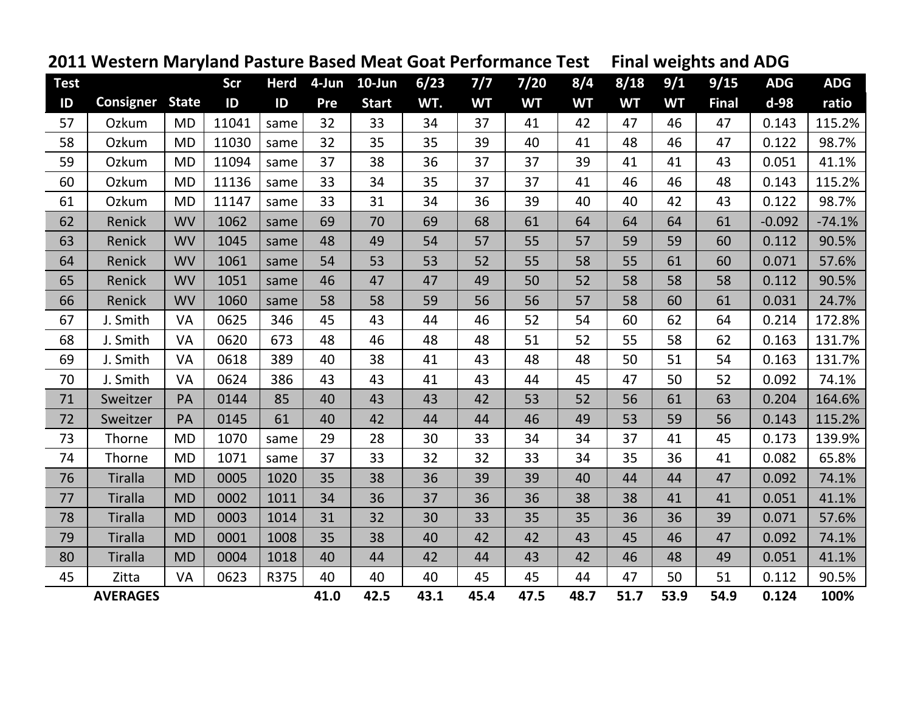|               | <u>ZUIT MESIENI MARJIANU PASLURE DASEU MEAL QUAL PERDIMANCE TESL</u> |           |       |             |       |              |      |           |           |           | Filidi weights diiu ADU |           |              |            |            |
|---------------|----------------------------------------------------------------------|-----------|-------|-------------|-------|--------------|------|-----------|-----------|-----------|-------------------------|-----------|--------------|------------|------------|
| <b>Test</b>   |                                                                      |           | Scr   | <b>Herd</b> | 4-Jun | $10$ -Jun    | 6/23 | 7/7       | $7/20$    | 8/4       | 8/18                    | 9/1       | 9/15         | <b>ADG</b> | <b>ADG</b> |
| $\mathsf{ID}$ | <b>Consigner State</b>                                               |           | ID    | ID          | Pre   | <b>Start</b> | WT.  | <b>WT</b> | <b>WT</b> | <b>WT</b> | <b>WT</b>               | <b>WT</b> | <b>Final</b> | $d-98$     | ratio      |
| 57            | Ozkum                                                                | <b>MD</b> | 11041 | same        | 32    | 33           | 34   | 37        | 41        | 42        | 47                      | 46        | 47           | 0.143      | 115.2%     |
| 58            | Ozkum                                                                | <b>MD</b> | 11030 | same        | 32    | 35           | 35   | 39        | 40        | 41        | 48                      | 46        | 47           | 0.122      | 98.7%      |
| 59            | Ozkum                                                                | <b>MD</b> | 11094 | same        | 37    | 38           | 36   | 37        | 37        | 39        | 41                      | 41        | 43           | 0.051      | 41.1%      |
| 60            | Ozkum                                                                | <b>MD</b> | 11136 | same        | 33    | 34           | 35   | 37        | 37        | 41        | 46                      | 46        | 48           | 0.143      | 115.2%     |
| 61            | Ozkum                                                                | <b>MD</b> | 11147 | same        | 33    | 31           | 34   | 36        | 39        | 40        | 40                      | 42        | 43           | 0.122      | 98.7%      |
| 62            | Renick                                                               | <b>WV</b> | 1062  | same        | 69    | 70           | 69   | 68        | 61        | 64        | 64                      | 64        | 61           | $-0.092$   | $-74.1%$   |
| 63            | Renick                                                               | <b>WV</b> | 1045  | same        | 48    | 49           | 54   | 57        | 55        | 57        | 59                      | 59        | 60           | 0.112      | 90.5%      |
| 64            | Renick                                                               | <b>WV</b> | 1061  | same        | 54    | 53           | 53   | 52        | 55        | 58        | 55                      | 61        | 60           | 0.071      | 57.6%      |
| 65            | Renick                                                               | <b>WV</b> | 1051  | same        | 46    | 47           | 47   | 49        | 50        | 52        | 58                      | 58        | 58           | 0.112      | 90.5%      |
| 66            | Renick                                                               | <b>WV</b> | 1060  | same        | 58    | 58           | 59   | 56        | 56        | 57        | 58                      | 60        | 61           | 0.031      | 24.7%      |
| 67            | J. Smith                                                             | VA        | 0625  | 346         | 45    | 43           | 44   | 46        | 52        | 54        | 60                      | 62        | 64           | 0.214      | 172.8%     |
| 68            | J. Smith                                                             | VA        | 0620  | 673         | 48    | 46           | 48   | 48        | 51        | 52        | 55                      | 58        | 62           | 0.163      | 131.7%     |
| 69            | J. Smith                                                             | VA        | 0618  | 389         | 40    | 38           | 41   | 43        | 48        | 48        | 50                      | 51        | 54           | 0.163      | 131.7%     |
| 70            | J. Smith                                                             | VA        | 0624  | 386         | 43    | 43           | 41   | 43        | 44        | 45        | 47                      | 50        | 52           | 0.092      | 74.1%      |
| 71            | Sweitzer                                                             | PA        | 0144  | 85          | 40    | 43           | 43   | 42        | 53        | 52        | 56                      | 61        | 63           | 0.204      | 164.6%     |
| 72            | Sweitzer                                                             | PA        | 0145  | 61          | 40    | 42           | 44   | 44        | 46        | 49        | 53                      | 59        | 56           | 0.143      | 115.2%     |
| 73            | Thorne                                                               | <b>MD</b> | 1070  | same        | 29    | 28           | 30   | 33        | 34        | 34        | 37                      | 41        | 45           | 0.173      | 139.9%     |
| 74            | Thorne                                                               | <b>MD</b> | 1071  | same        | 37    | 33           | 32   | 32        | 33        | 34        | 35                      | 36        | 41           | 0.082      | 65.8%      |
| 76            | <b>Tiralla</b>                                                       | <b>MD</b> | 0005  | 1020        | 35    | 38           | 36   | 39        | 39        | 40        | 44                      | 44        | 47           | 0.092      | 74.1%      |
| 77            | <b>Tiralla</b>                                                       | <b>MD</b> | 0002  | 1011        | 34    | 36           | 37   | 36        | 36        | 38        | 38                      | 41        | 41           | 0.051      | 41.1%      |
| 78            | <b>Tiralla</b>                                                       | <b>MD</b> | 0003  | 1014        | 31    | 32           | 30   | 33        | 35        | 35        | 36                      | 36        | 39           | 0.071      | 57.6%      |
| 79            | <b>Tiralla</b>                                                       | <b>MD</b> | 0001  | 1008        | 35    | 38           | 40   | 42        | 42        | 43        | 45                      | 46        | 47           | 0.092      | 74.1%      |
| 80            | <b>Tiralla</b>                                                       | <b>MD</b> | 0004  | 1018        | 40    | 44           | 42   | 44        | 43        | 42        | 46                      | 48        | 49           | 0.051      | 41.1%      |
| 45            | Zitta                                                                | VA        | 0623  | R375        | 40    | 40           | 40   | 45        | 45        | 44        | 47                      | 50        | 51           | 0.112      | 90.5%      |
|               | <b>AVERAGES</b>                                                      |           |       |             | 41.0  | 42.5         | 43.1 | 45.4      | 47.5      | 48.7      | 51.7                    | 53.9      | 54.9         | 0.124      | 100%       |

## **Western Maryland Pasture Based Meat Goat Performance Test Final weights and ADG**